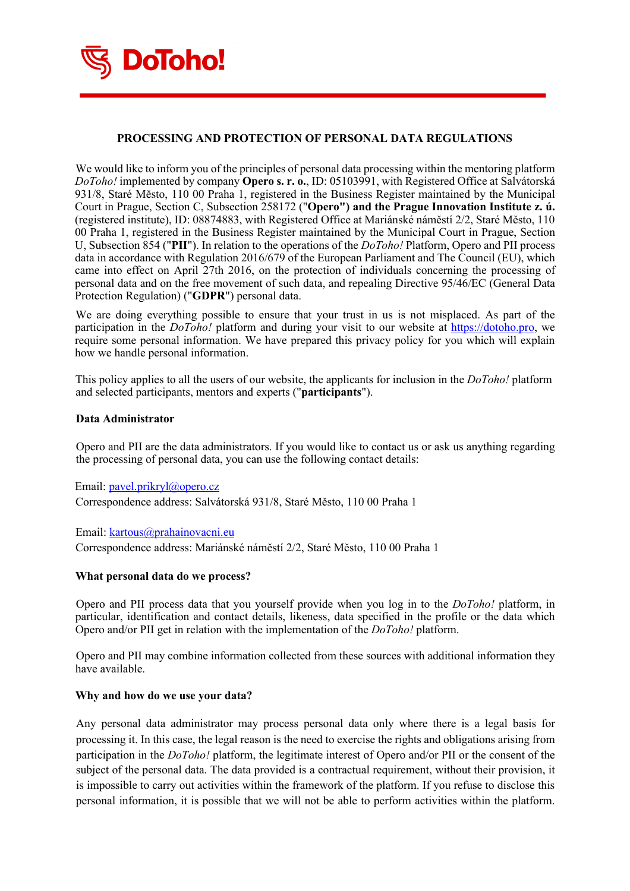

# **PROCESSING AND PROTECTION OF PERSONAL DATA REGULATIONS**

We would like to inform you of the principles of personal data processing within the mentoring platform *DoToho!* implemented by company **Opero s. r. o.**, ID: 05103991, with Registered Office at Salvátorská 931/8, Staré Město, 110 00 Praha 1, registered in the Business Register maintained by the Municipal Court in Prague, Section C, Subsection 258172 ("**Opero") and the Prague Innovation Institute z. ú.** (registered institute), ID: 08874883, with Registered Office at Mariánské náměstí 2/2, Staré Město, 110 00 Praha 1, registered in the Business Register maintained by the Municipal Court in Prague, Section U, Subsection 854 ("**PII**"). In relation to the operations of the *DoToho!* Platform, Opero and PII process data in accordance with Regulation 2016/679 of the European Parliament and The Council (EU), which came into effect on April 27th 2016, on the protection of individuals concerning the processing of personal data and on the free movement of such data, and repealing Directive 95/46/EC (General Data Protection Regulation) ("**GDPR**") personal data.

We are doing everything possible to ensure that your trust in us is not misplaced. As part of the participation in the *DoToho!* platform and during your visit to our website at https://dotoho.pro, we require some personal information. We have prepared this privacy policy for you which will explain how we handle personal information.

This policy applies to all the users of our website, the applicants for inclusion in the *DoToho!* platform and selected participants, mentors and experts ("**participants**").

### **Data Administrator**

Opero and PII are the data administrators. If you would like to contact us or ask us anything regarding the processing of personal data, you can use the following contact details:

Email: pavel.prikryl@opero.cz Correspondence address: Salvátorská 931/8, Staré Město, 110 00 Praha 1

Email: kartous@prahainovacni.eu Correspondence address: Mariánské náměstí 2/2, Staré Město, 110 00 Praha 1

## **What personal data do we process?**

Opero and PII process data that you yourself provide when you log in to the *DoToho!* platform, in particular, identification and contact details, likeness, data specified in the profile or the data which Opero and/or PII get in relation with the implementation of the *DoToho!* platform.

Opero and PII may combine information collected from these sources with additional information they have available.

### **Why and how do we use your data?**

Any personal data administrator may process personal data only where there is a legal basis for processing it. In this case, the legal reason is the need to exercise the rights and obligations arising from participation in the *DoToho!* platform, the legitimate interest of Opero and/or PII or the consent of the subject of the personal data. The data provided is a contractual requirement, without their provision, it is impossible to carry out activities within the framework of the platform. If you refuse to disclose this personal information, it is possible that we will not be able to perform activities within the platform.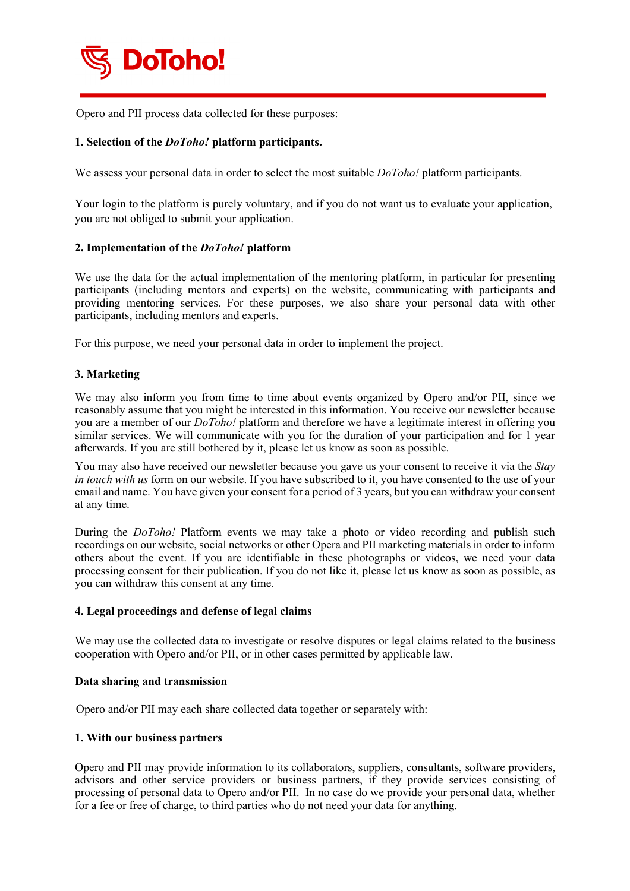

Opero and PII process data collected for these purposes:

## **1. Selection of the** *DoToho!* **platform participants.**

We assess your personal data in order to select the most suitable *DoToho!* platform participants.

Your login to the platform is purely voluntary, and if you do not want us to evaluate your application, you are not obliged to submit your application.

## **2. Implementation of the** *DoToho!* **platform**

We use the data for the actual implementation of the mentoring platform, in particular for presenting participants (including mentors and experts) on the website, communicating with participants and providing mentoring services. For these purposes, we also share your personal data with other participants, including mentors and experts.

For this purpose, we need your personal data in order to implement the project.

## **3. Marketing**

We may also inform you from time to time about events organized by Opero and/or PII, since we reasonably assume that you might be interested in this information. You receive our newsletter because you are a member of our *DoToho!* platform and therefore we have a legitimate interest in offering you similar services. We will communicate with you for the duration of your participation and for 1 year afterwards. If you are still bothered by it, please let us know as soon as possible.

You may also have received our newsletter because you gave us your consent to receive it via the *Stay in touch with us* form on our website. If you have subscribed to it, you have consented to the use of your email and name. You have given your consent for a period of 3 years, but you can withdraw your consent at any time.

During the *DoToho!* Platform events we may take a photo or video recording and publish such recordings on our website, social networks or other Opera and PII marketing materials in order to inform others about the event. If you are identifiable in these photographs or videos, we need your data processing consent for their publication. If you do not like it, please let us know as soon as possible, as you can withdraw this consent at any time.

### **4. Legal proceedings and defense of legal claims**

We may use the collected data to investigate or resolve disputes or legal claims related to the business cooperation with Opero and/or PII, or in other cases permitted by applicable law.

### **Data sharing and transmission**

Opero and/or PII may each share collected data together or separately with:

### **1. With our business partners**

Opero and PII may provide information to its collaborators, suppliers, consultants, software providers, advisors and other service providers or business partners, if they provide services consisting of processing of personal data to Opero and/or PII. In no case do we provide your personal data, whether for a fee or free of charge, to third parties who do not need your data for anything.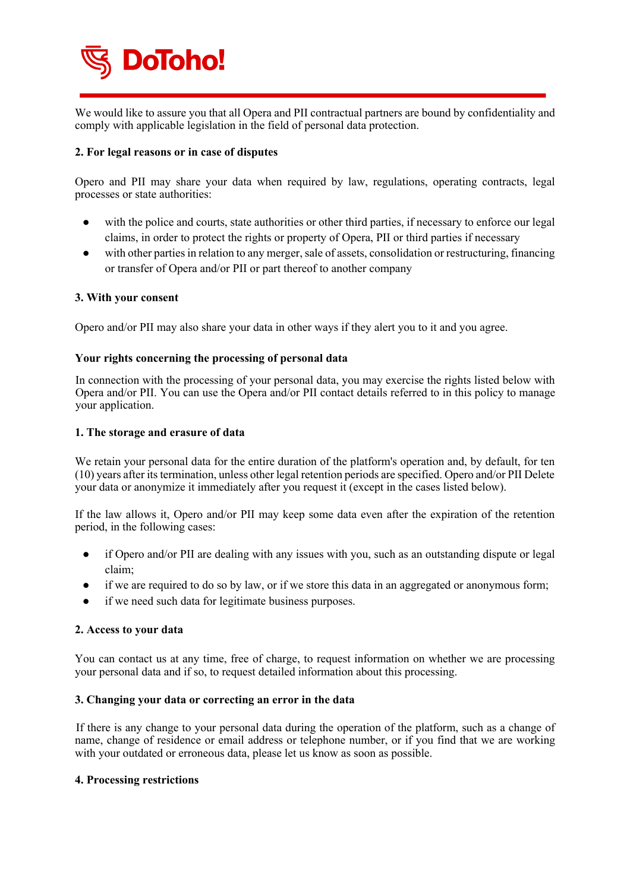

We would like to assure you that all Opera and PII contractual partners are bound by confidentiality and comply with applicable legislation in the field of personal data protection.

## **2. For legal reasons or in case of disputes**

Opero and PII may share your data when required by law, regulations, operating contracts, legal processes or state authorities:

- with the police and courts, state authorities or other third parties, if necessary to enforce our legal claims, in order to protect the rights or property of Opera, PII or third parties if necessary
- with other parties in relation to any merger, sale of assets, consolidation or restructuring, financing or transfer of Opera and/or PII or part thereof to another company

## **3. With your consent**

Opero and/or PII may also share your data in other ways if they alert you to it and you agree.

# **Your rights concerning the processing of personal data**

In connection with the processing of your personal data, you may exercise the rights listed below with Opera and/or PII. You can use the Opera and/or PII contact details referred to in this policy to manage your application.

## **1. The storage and erasure of data**

We retain your personal data for the entire duration of the platform's operation and, by default, for ten (10) years after its termination, unless other legal retention periods are specified. Opero and/or PII Delete your data or anonymize it immediately after you request it (except in the cases listed below).

If the law allows it, Opero and/or PII may keep some data even after the expiration of the retention period, in the following cases:

- if Opero and/or PII are dealing with any issues with you, such as an outstanding dispute or legal claim;
- if we are required to do so by law, or if we store this data in an aggregated or anonymous form;
- if we need such data for legitimate business purposes.

## **2. Access to your data**

You can contact us at any time, free of charge, to request information on whether we are processing your personal data and if so, to request detailed information about this processing.

## **3. Changing your data or correcting an error in the data**

If there is any change to your personal data during the operation of the platform, such as a change of name, change of residence or email address or telephone number, or if you find that we are working with your outdated or erroneous data, please let us know as soon as possible.

## **4. Processing restrictions**